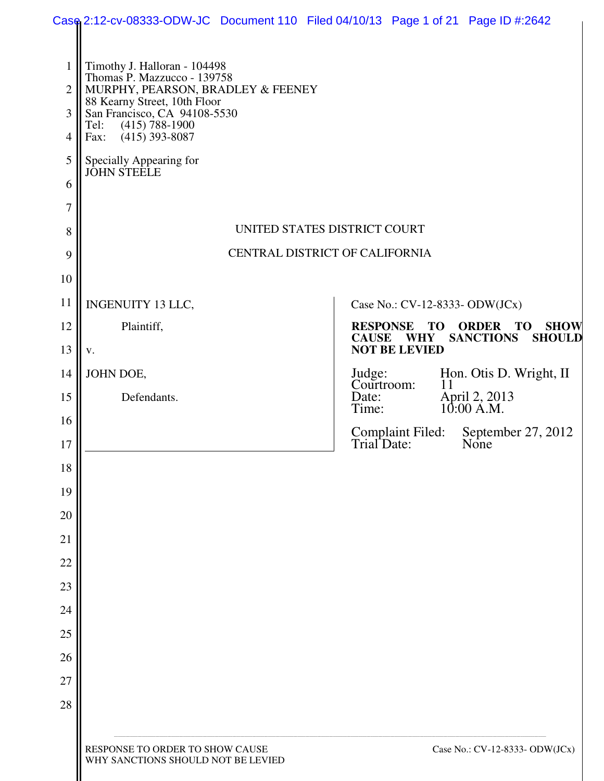|                                | Case 2:12-cv-08333-ODW-JC Document 110 Filed 04/10/13 Page 1 of 21 Page ID #:2642                |                                                                                                                            |
|--------------------------------|--------------------------------------------------------------------------------------------------|----------------------------------------------------------------------------------------------------------------------------|
| $\mathbf{1}$<br>$\overline{2}$ | Timothy J. Halloran - 104498<br>Thomas P. Mazzucco - 139758<br>MURPHY, PEARSON, BRADLEY & FEENEY |                                                                                                                            |
| 3                              | 88 Kearny Street, 10th Floor<br>San Francisco, CA 94108-5530                                     |                                                                                                                            |
| $\overline{4}$                 | Tel: (415) 788-1900<br>Fax: (415) 393-8087                                                       |                                                                                                                            |
| 5                              | Specially Appearing for                                                                          |                                                                                                                            |
| 6                              | <b>JOHN STEELE</b>                                                                               |                                                                                                                            |
| $\overline{7}$                 |                                                                                                  |                                                                                                                            |
| 8                              | UNITED STATES DISTRICT COURT                                                                     |                                                                                                                            |
| 9                              | CENTRAL DISTRICT OF CALIFORNIA                                                                   |                                                                                                                            |
| 10                             |                                                                                                  |                                                                                                                            |
| 11                             | INGENUITY 13 LLC,                                                                                | Case No.: CV-12-8333- ODW(JCx)                                                                                             |
| 12                             | Plaintiff,                                                                                       | <b>RESPONSE</b><br><b>TO</b><br><b>SHOW</b><br><b>ORDER</b><br>TO<br><b>CAUSE WHY</b><br><b>SANCTIONS</b><br><b>SHOULD</b> |
| 13                             | V.                                                                                               | <b>NOT BE LEVIED</b>                                                                                                       |
| 14                             | JOHN DOE,                                                                                        | Hon. Otis D. Wright, II<br>Judge:<br>Courtroom:<br>11                                                                      |
| 15                             | Defendants.                                                                                      | Date:<br>April 2, 2013<br>10:00 A.M.<br>Time:                                                                              |
| 16<br>17                       |                                                                                                  | Complaint Filed: September 27, 2012<br>Trial Date: None                                                                    |
| 18                             |                                                                                                  |                                                                                                                            |
| 19                             |                                                                                                  |                                                                                                                            |
| 20                             |                                                                                                  |                                                                                                                            |
| 21                             |                                                                                                  |                                                                                                                            |
| 22                             |                                                                                                  |                                                                                                                            |
| 23                             |                                                                                                  |                                                                                                                            |
| 24                             |                                                                                                  |                                                                                                                            |
| 25                             |                                                                                                  |                                                                                                                            |
| 26                             |                                                                                                  |                                                                                                                            |
| 27                             |                                                                                                  |                                                                                                                            |
| 28                             |                                                                                                  |                                                                                                                            |
|                                |                                                                                                  |                                                                                                                            |
|                                | RESPONSE TO ORDER TO SHOW CAUSE<br>WHY SANCTIONS SHOULD NOT BE LEVIED                            | Case No.: CV-12-8333- ODW(JCx)                                                                                             |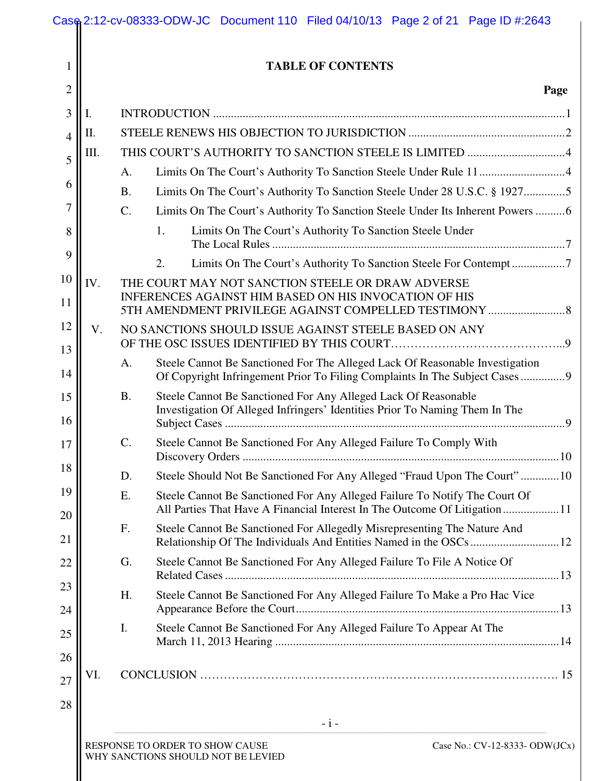| 1              |      |                 | <b>TABLE OF CONTENTS</b>                                                                                                                      |      |
|----------------|------|-----------------|-----------------------------------------------------------------------------------------------------------------------------------------------|------|
| $\overline{2}$ |      |                 |                                                                                                                                               | Page |
| 3              | I.   |                 |                                                                                                                                               |      |
| 4              | П.   |                 |                                                                                                                                               |      |
| 5              | III. |                 |                                                                                                                                               |      |
| 6              |      | A.              | Limits On The Court's Authority To Sanction Steele Under Rule 114                                                                             |      |
|                |      | <b>B.</b>       | Limits On The Court's Authority To Sanction Steele Under 28 U.S.C. § 19275                                                                    |      |
| 7              |      | $C$ .           | Limits On The Court's Authority To Sanction Steele Under Its Inherent Powers6                                                                 |      |
| 8              |      |                 | Limits On The Court's Authority To Sanction Steele Under<br>1.                                                                                |      |
| 9              |      |                 | Limits On The Court's Authority To Sanction Steele For Contempt7<br>2.                                                                        |      |
| 10             | IV.  |                 | THE COURT MAY NOT SANCTION STEELE OR DRAW ADVERSE                                                                                             |      |
| 11             |      |                 | <b>INFERENCES AGAINST HIM BASED ON HIS INVOCATION OF HIS</b><br>5TH AMENDMENT PRIVILEGE AGAINST COMPELLED TESTIMONY                           |      |
| 12             | V.   |                 | NO SANCTIONS SHOULD ISSUE AGAINST STEELE BASED ON ANY                                                                                         |      |
| 13             |      | A.              | Steele Cannot Be Sanctioned For The Alleged Lack Of Reasonable Investigation                                                                  |      |
| 14             |      |                 | Of Copyright Infringement Prior To Filing Complaints In The Subject Cases9                                                                    |      |
| 15             |      | <b>B.</b>       | Steele Cannot Be Sanctioned For Any Alleged Lack Of Reasonable<br>Investigation Of Alleged Infringers' Identities Prior To Naming Them In The |      |
| 16             |      |                 |                                                                                                                                               |      |
| 17             |      | $\mathcal{C}$ . | Steele Cannot Be Sanctioned For Any Alleged Failure To Comply With                                                                            |      |
| 18             |      | D.              | Steele Should Not Be Sanctioned For Any Alleged "Fraud Upon The Court" 10                                                                     |      |
| 19<br>20       |      | Ε.              | Steele Cannot Be Sanctioned For Any Alleged Failure To Notify The Court Of                                                                    |      |
| 21             |      | F.              | Steele Cannot Be Sanctioned For Allegedly Misrepresenting The Nature And                                                                      |      |
| 22             |      | G.              | Steele Cannot Be Sanctioned For Any Alleged Failure To File A Notice Of                                                                       |      |
| 23             |      | H.              | Steele Cannot Be Sanctioned For Any Alleged Failure To Make a Pro Hac Vice                                                                    |      |
| 24             |      |                 |                                                                                                                                               |      |
| 25             |      | I.              | Steele Cannot Be Sanctioned For Any Alleged Failure To Appear At The                                                                          |      |
| 26             |      |                 |                                                                                                                                               |      |
| 27             | VI.  |                 |                                                                                                                                               |      |
| 28             |      |                 | $-i-$                                                                                                                                         |      |
|                |      |                 |                                                                                                                                               |      |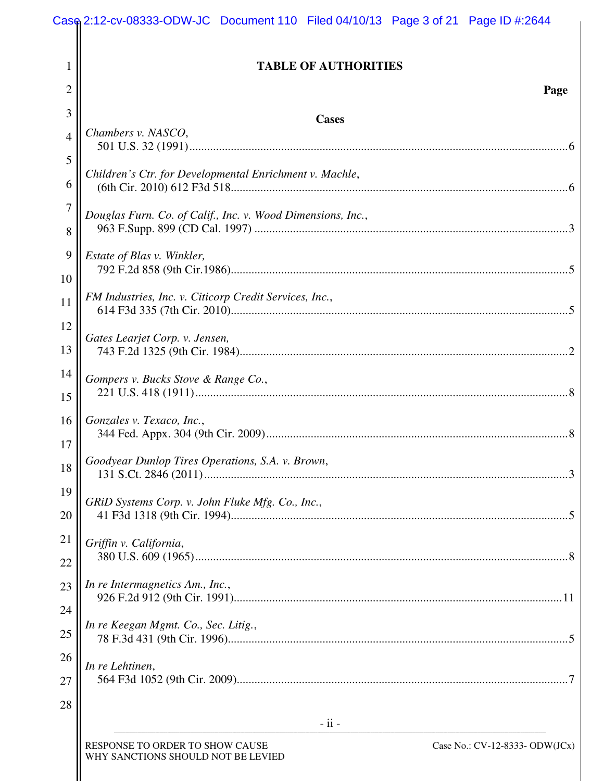|                | Case 2:12-cv-08333-ODW-JC Document 110 Filed 04/10/13 Page 3 of 21 Page ID #:2644 |
|----------------|-----------------------------------------------------------------------------------|
| 1              | <b>TABLE OF AUTHORITIES</b>                                                       |
| $\overline{2}$ | Page                                                                              |
| 3              | <b>Cases</b>                                                                      |
| 4              | Chambers v. NASCO,                                                                |
| 5              |                                                                                   |
| 6              | Children's Ctr. for Developmental Enrichment v. Machle,                           |
| 7              | Douglas Furn. Co. of Calif., Inc. v. Wood Dimensions, Inc.,                       |
| 8              |                                                                                   |
| 9              | Estate of Blas v. Winkler,                                                        |
| 10             |                                                                                   |
| 11             | FM Industries, Inc. v. Citicorp Credit Services, Inc.,                            |
| 12             |                                                                                   |
| 13             | Gates Learjet Corp. v. Jensen,                                                    |
| 14             | Gompers v. Bucks Stove & Range Co.,                                               |
| 15             |                                                                                   |
| 16             | Gonzales v. Texaco, Inc.,                                                         |
| 17             |                                                                                   |
| 18             | Goodyear Dunlop Tires Operations, S.A. v. Brown,                                  |
| 19             | GRiD Systems Corp. v. John Fluke Mfg. Co., Inc.,                                  |
| 20             |                                                                                   |
| 21             | Griffin v. California,                                                            |
| 22             |                                                                                   |
| 23             | In re Intermagnetics Am., Inc.,                                                   |
| 24             | In re Keegan Mgmt. Co., Sec. Litig.,                                              |
| 25             |                                                                                   |
| 26             | In re Lehtinen,                                                                   |
| 27             |                                                                                   |
| 28             | $-ii -$                                                                           |
|                | RESPONSE TO ORDER TO SHOW CAUSE<br>Case No.: CV-12-8333- ODW(JCx)                 |
|                | WHY SANCTIONS SHOULD NOT BE LEVIED                                                |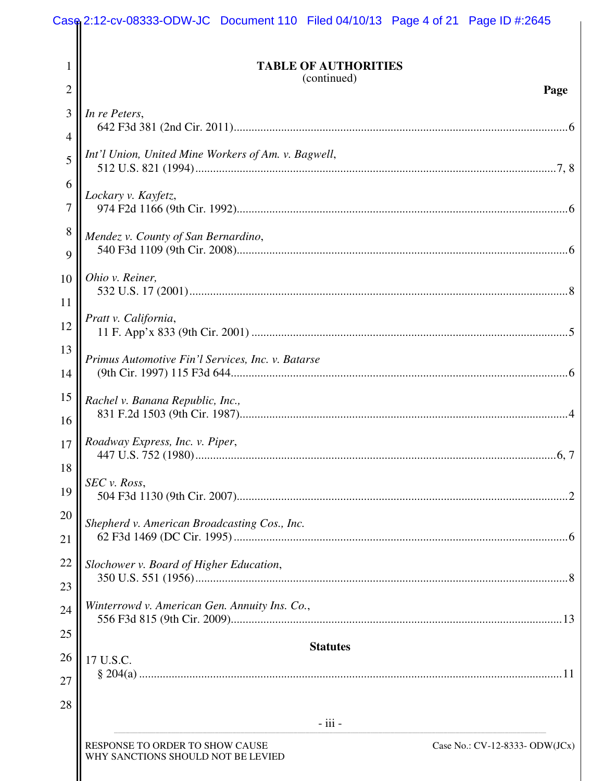|                | Case 2:12-cv-08333-ODW-JC Document 110 Filed 04/10/13 Page 4 of 21 Page ID #:2645                       |
|----------------|---------------------------------------------------------------------------------------------------------|
| 1              | <b>TABLE OF AUTHORITIES</b>                                                                             |
| $\overline{2}$ | (continued)<br>Page                                                                                     |
| 3              | In re Peters,                                                                                           |
| $\overline{4}$ |                                                                                                         |
| 5              | Int'l Union, United Mine Workers of Am. v. Bagwell,                                                     |
| 6              | Lockary v. Kayfetz,                                                                                     |
| 7              |                                                                                                         |
| 8              | Mendez v. County of San Bernardino,                                                                     |
| 9<br>10        | Ohio v. Reiner,                                                                                         |
| 11             |                                                                                                         |
| 12             | Pratt v. California,                                                                                    |
| 13             |                                                                                                         |
| 14             | Primus Automotive Fin'l Services, Inc. v. Batarse                                                       |
| 15             | Rachel v. Banana Republic, Inc.,                                                                        |
| 16             |                                                                                                         |
| 17             | Roadway Express, Inc. v. Piper,                                                                         |
| 18             | SEC v. Ross,                                                                                            |
| 19             |                                                                                                         |
| 20             | Shepherd v. American Broadcasting Cos., Inc.                                                            |
| 21             |                                                                                                         |
| 22<br>23       | Slochower v. Board of Higher Education,                                                                 |
| 24             | Winterrowd v. American Gen. Annuity Ins. Co.,                                                           |
| 25             |                                                                                                         |
| 26             | <b>Statutes</b><br>17 U.S.C.                                                                            |
| 27             |                                                                                                         |
| 28             |                                                                                                         |
|                | - iii -                                                                                                 |
|                | RESPONSE TO ORDER TO SHOW CAUSE<br>Case No.: CV-12-8333- ODW(JCx)<br>WHY SANCTIONS SHOULD NOT BE LEVIED |
|                |                                                                                                         |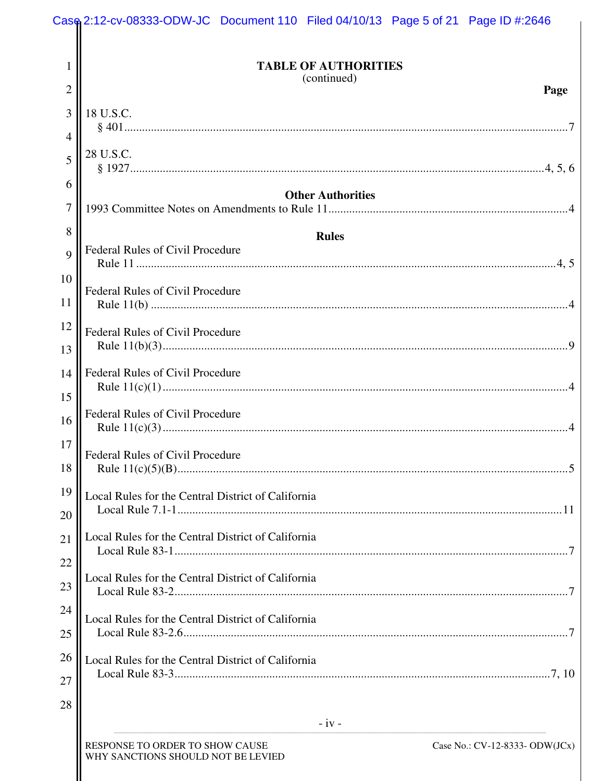|                | Case 2:12-cv-08333-ODW-JC Document 110 Filed 04/10/13 Page 5 of 21 Page ID #:2646                       |
|----------------|---------------------------------------------------------------------------------------------------------|
| 1              | <b>TABLE OF AUTHORITIES</b><br>(continued)                                                              |
| $\overline{c}$ | Page                                                                                                    |
| 3              | 18 U.S.C.                                                                                               |
| $\overline{4}$ |                                                                                                         |
| 5              | 28 U.S.C.                                                                                               |
| 6              | <b>Other Authorities</b>                                                                                |
| $\overline{7}$ |                                                                                                         |
| 8              | <b>Rules</b>                                                                                            |
| 9              | Federal Rules of Civil Procedure                                                                        |
| 10             |                                                                                                         |
| 11             | Federal Rules of Civil Procedure                                                                        |
| 12             |                                                                                                         |
| 13             | Federal Rules of Civil Procedure                                                                        |
| 14             | Federal Rules of Civil Procedure                                                                        |
|                |                                                                                                         |
| 15             | Federal Rules of Civil Procedure                                                                        |
| 16             |                                                                                                         |
| 17             | Federal Rules of Civil Procedure                                                                        |
| 18             |                                                                                                         |
| 19             | Local Rules for the Central District of California                                                      |
| 20             |                                                                                                         |
| 21             | Local Rules for the Central District of California                                                      |
| 22             |                                                                                                         |
| 23             | Local Rules for the Central District of California                                                      |
| 24             |                                                                                                         |
| 25             | Local Rules for the Central District of California                                                      |
| 26             | Local Rules for the Central District of California                                                      |
| 27             |                                                                                                         |
| 28             |                                                                                                         |
|                | $-iv -$                                                                                                 |
|                | RESPONSE TO ORDER TO SHOW CAUSE<br>Case No.: CV-12-8333- ODW(JCx)<br>WHY SANCTIONS SHOULD NOT BE LEVIED |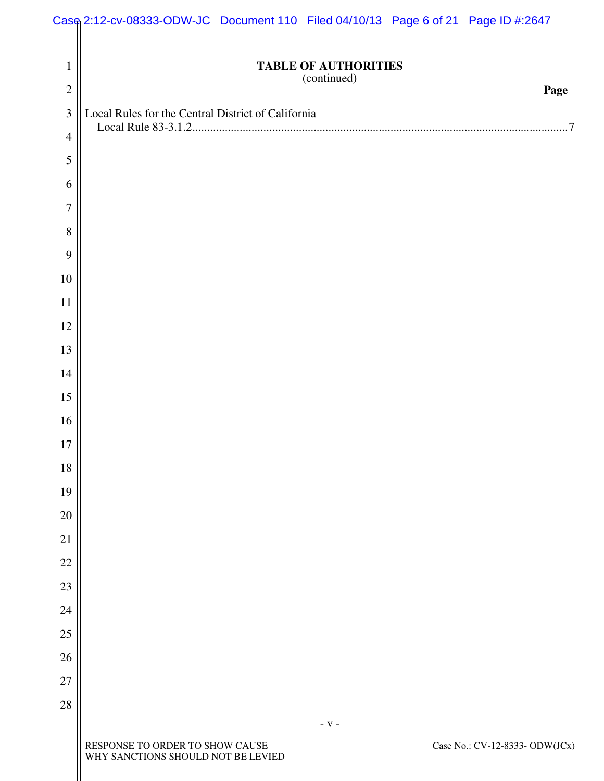|                | Case 2:12-cv-08333-ODW-JC Document 110 Filed 04/10/13 Page 6 of 21 Page ID #:2647 |                             |                                |  |
|----------------|-----------------------------------------------------------------------------------|-----------------------------|--------------------------------|--|
| $\mathbf{1}$   |                                                                                   | <b>TABLE OF AUTHORITIES</b> |                                |  |
| $\overline{2}$ |                                                                                   | (continued)                 | Page                           |  |
| $\mathfrak{Z}$ | Local Rules for the Central District of California                                |                             |                                |  |
| $\overline{4}$ |                                                                                   |                             |                                |  |
| $\sqrt{5}$     |                                                                                   |                             |                                |  |
| 6              |                                                                                   |                             |                                |  |
| 7              |                                                                                   |                             |                                |  |
| 8              |                                                                                   |                             |                                |  |
| 9              |                                                                                   |                             |                                |  |
| $10\,$         |                                                                                   |                             |                                |  |
| 11             |                                                                                   |                             |                                |  |
| 12             |                                                                                   |                             |                                |  |
| 13             |                                                                                   |                             |                                |  |
| 14             |                                                                                   |                             |                                |  |
| 15             |                                                                                   |                             |                                |  |
| 16             |                                                                                   |                             |                                |  |
| $17\,$         |                                                                                   |                             |                                |  |
| 18             |                                                                                   |                             |                                |  |
| 19             |                                                                                   |                             |                                |  |
| 20             |                                                                                   |                             |                                |  |
| 21             |                                                                                   |                             |                                |  |
| 22<br>23       |                                                                                   |                             |                                |  |
| 24             |                                                                                   |                             |                                |  |
| 25             |                                                                                   |                             |                                |  |
| 26             |                                                                                   |                             |                                |  |
| 27             |                                                                                   |                             |                                |  |
| $28\,$         |                                                                                   |                             |                                |  |
|                |                                                                                   | $- V -$                     |                                |  |
|                | RESPONSE TO ORDER TO SHOW CAUSE<br>WHY SANCTIONS SHOULD NOT BE LEVIED             |                             | Case No.: CV-12-8333- ODW(JCx) |  |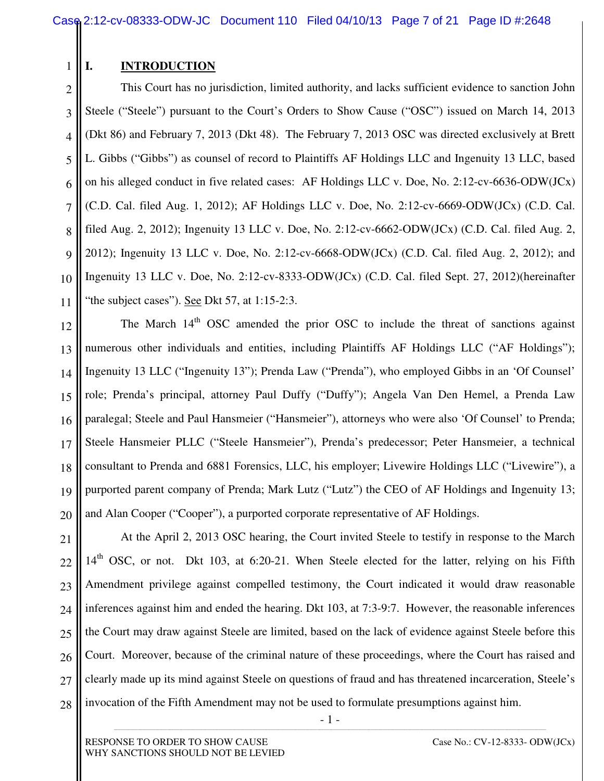# 1

## **I. INTRODUCTION**

2 3 4 5 6 7 8 9 10 11 This Court has no jurisdiction, limited authority, and lacks sufficient evidence to sanction John Steele ("Steele") pursuant to the Court's Orders to Show Cause ("OSC") issued on March 14, 2013 (Dkt 86) and February 7, 2013 (Dkt 48). The February 7, 2013 OSC was directed exclusively at Brett L. Gibbs ("Gibbs") as counsel of record to Plaintiffs AF Holdings LLC and Ingenuity 13 LLC, based on his alleged conduct in five related cases: AF Holdings LLC v. Doe, No. 2:12-cv-6636-ODW(JCx) (C.D. Cal. filed Aug. 1, 2012); AF Holdings LLC v. Doe, No. 2:12-cv-6669-ODW(JCx) (C.D. Cal. filed Aug. 2, 2012); Ingenuity 13 LLC v. Doe, No. 2:12-cv-6662-ODW(JCx) (C.D. Cal. filed Aug. 2, 2012); Ingenuity 13 LLC v. Doe, No. 2:12-cv-6668-ODW(JCx) (C.D. Cal. filed Aug. 2, 2012); and Ingenuity 13 LLC v. Doe, No. 2:12-cv-8333-ODW(JCx) (C.D. Cal. filed Sept. 27, 2012)(hereinafter "the subject cases"). See Dkt 57, at 1:15-2:3.

12 13 14 15 16 17 18 19 20 The March 14<sup>th</sup> OSC amended the prior OSC to include the threat of sanctions against numerous other individuals and entities, including Plaintiffs AF Holdings LLC ("AF Holdings"); Ingenuity 13 LLC ("Ingenuity 13"); Prenda Law ("Prenda"), who employed Gibbs in an 'Of Counsel' role; Prenda's principal, attorney Paul Duffy ("Duffy"); Angela Van Den Hemel, a Prenda Law paralegal; Steele and Paul Hansmeier ("Hansmeier"), attorneys who were also 'Of Counsel' to Prenda; Steele Hansmeier PLLC ("Steele Hansmeier"), Prenda's predecessor; Peter Hansmeier, a technical consultant to Prenda and 6881 Forensics, LLC, his employer; Livewire Holdings LLC ("Livewire"), a purported parent company of Prenda; Mark Lutz ("Lutz") the CEO of AF Holdings and Ingenuity 13; and Alan Cooper ("Cooper"), a purported corporate representative of AF Holdings.

21 22 23  $24$ 25 26 27 28 At the April 2, 2013 OSC hearing, the Court invited Steele to testify in response to the March  $14<sup>th</sup>$  OSC, or not. Dkt 103, at 6:20-21. When Steele elected for the latter, relying on his Fifth Amendment privilege against compelled testimony, the Court indicated it would draw reasonable inferences against him and ended the hearing. Dkt 103, at 7:3-9:7. However, the reasonable inferences the Court may draw against Steele are limited, based on the lack of evidence against Steele before this Court. Moreover, because of the criminal nature of these proceedings, where the Court has raised and clearly made up its mind against Steele on questions of fraud and has threatened incarceration, Steele's invocation of the Fifth Amendment may not be used to formulate presumptions against him.

> - 1 - **\_\_\_\_\_\_\_\_\_\_\_\_\_\_\_\_\_\_\_\_\_\_\_\_\_\_\_\_\_\_\_\_\_\_\_\_\_\_\_\_\_\_\_\_\_\_\_\_\_\_\_\_\_\_\_\_\_\_\_\_\_\_\_\_\_\_\_\_\_\_\_\_\_\_\_\_\_\_\_\_\_\_\_\_\_\_\_\_\_\_\_\_\_\_\_\_\_\_\_\_\_\_\_\_\_\_\_\_\_\_\_\_\_\_\_\_\_\_\_\_\_\_\_\_\_\_\_\_\_\_\_\_\_\_\_\_\_\_\_\_\_\_\_\_\_\_\_\_\_\_\_\_\_\_\_\_\_\_\_\_\_\_\_\_\_\_\_\_\_\_\_\_\_\_\_\_\_\_\_\_\_\_\_\_\_\_\_\_\_\_\_\_\_\_\_\_\_\_\_\_\_\_\_\_\_\_\_\_\_\_\_\_\_\_\_\_\_\_\_**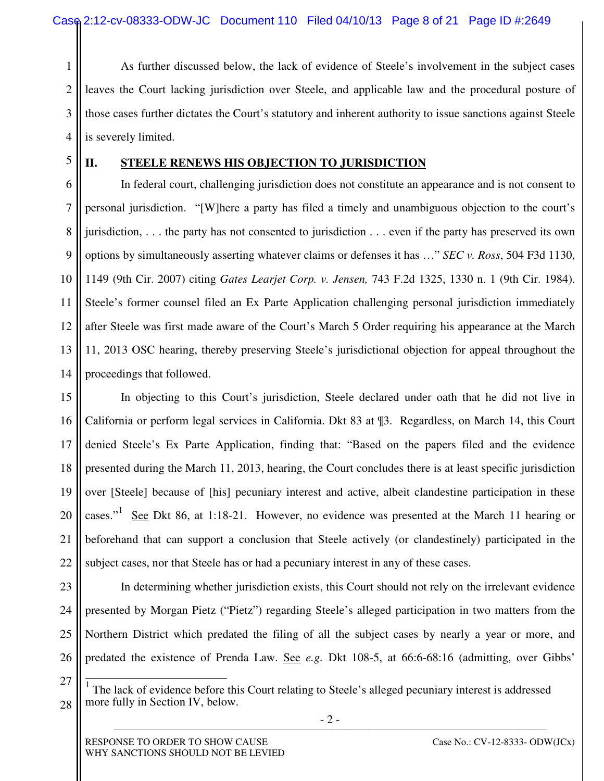1 2 3 4 As further discussed below, the lack of evidence of Steele's involvement in the subject cases leaves the Court lacking jurisdiction over Steele, and applicable law and the procedural posture of those cases further dictates the Court's statutory and inherent authority to issue sanctions against Steele is severely limited.

5

#### **II. STEELE RENEWS HIS OBJECTION TO JURISDICTION**

6 7 8 9 10 11 12 13 14 In federal court, challenging jurisdiction does not constitute an appearance and is not consent to personal jurisdiction. "[W]here a party has filed a timely and unambiguous objection to the court's jurisdiction, . . . the party has not consented to jurisdiction . . . even if the party has preserved its own options by simultaneously asserting whatever claims or defenses it has …" *SEC v. Ross*, 504 F3d 1130, 1149 (9th Cir. 2007) citing *Gates Learjet Corp. v. Jensen,* 743 F.2d 1325, 1330 n. 1 (9th Cir. 1984). Steele's former counsel filed an Ex Parte Application challenging personal jurisdiction immediately after Steele was first made aware of the Court's March 5 Order requiring his appearance at the March 11, 2013 OSC hearing, thereby preserving Steele's jurisdictional objection for appeal throughout the proceedings that followed.

15 16 17 18 19 20 21 22 In objecting to this Court's jurisdiction, Steele declared under oath that he did not live in California or perform legal services in California. Dkt 83 at ¶3. Regardless, on March 14, this Court denied Steele's Ex Parte Application, finding that: "Based on the papers filed and the evidence presented during the March 11, 2013, hearing, the Court concludes there is at least specific jurisdiction over [Steele] because of [his] pecuniary interest and active, albeit clandestine participation in these cases."<sup>1</sup> See Dkt 86, at 1:18-21. However, no evidence was presented at the March 11 hearing or beforehand that can support a conclusion that Steele actively (or clandestinely) participated in the subject cases, nor that Steele has or had a pecuniary interest in any of these cases.

23 24

25 26 In determining whether jurisdiction exists, this Court should not rely on the irrelevant evidence presented by Morgan Pietz ("Pietz") regarding Steele's alleged participation in two matters from the Northern District which predated the filing of all the subject cases by nearly a year or more, and predated the existence of Prenda Law. See *e.g.* Dkt 108-5, at 66:6-68:16 (admitting, over Gibbs'

27

 $\frac{1}{1}$ 

<sup>1</sup> The lack of evidence before this Court relating to Steele's alleged pecuniary interest is addressed more fully in Section IV, below.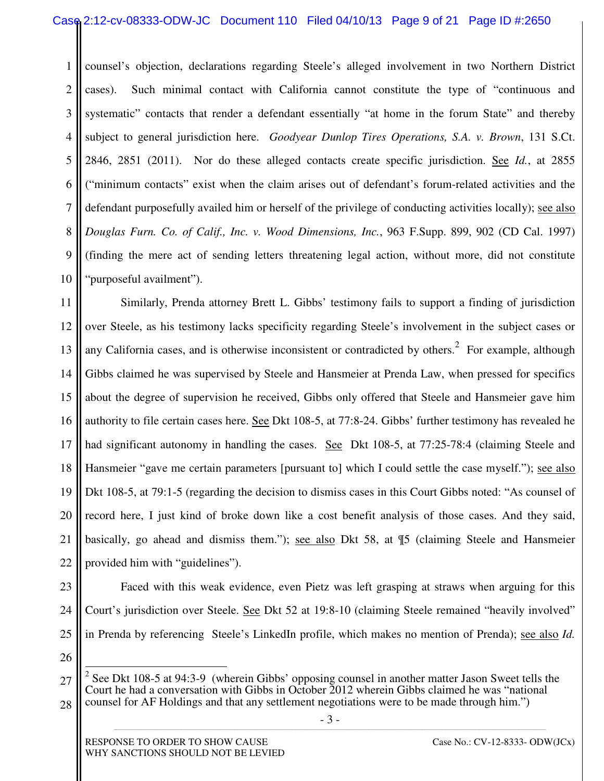## Case 2:12-cv-08333-ODW-JC Document 110 Filed 04/10/13 Page 9 of 21 Page ID #:2650

1 2 3 4 5 6 7 8 9 10 counsel's objection, declarations regarding Steele's alleged involvement in two Northern District cases). Such minimal contact with California cannot constitute the type of "continuous and systematic" contacts that render a defendant essentially "at home in the forum State" and thereby subject to general jurisdiction here. *Goodyear Dunlop Tires Operations, S.A. v. Brown*, 131 S.Ct. 2846, 2851 (2011). Nor do these alleged contacts create specific jurisdiction. See *Id.*, at 2855 ("minimum contacts" exist when the claim arises out of defendant's forum-related activities and the defendant purposefully availed him or herself of the privilege of conducting activities locally); see also *Douglas Furn. Co. of Calif., Inc. v. Wood Dimensions, Inc.*, 963 F.Supp. 899, 902 (CD Cal. 1997) (finding the mere act of sending letters threatening legal action, without more, did not constitute "purposeful availment").

11 12 13 14 15 16 17 18 19 20 21 22 Similarly, Prenda attorney Brett L. Gibbs' testimony fails to support a finding of jurisdiction over Steele, as his testimony lacks specificity regarding Steele's involvement in the subject cases or any California cases, and is otherwise inconsistent or contradicted by others.<sup>2</sup> For example, although Gibbs claimed he was supervised by Steele and Hansmeier at Prenda Law, when pressed for specifics about the degree of supervision he received, Gibbs only offered that Steele and Hansmeier gave him authority to file certain cases here. See Dkt 108-5, at 77:8-24. Gibbs' further testimony has revealed he had significant autonomy in handling the cases. See Dkt 108-5, at 77:25-78:4 (claiming Steele and Hansmeier "gave me certain parameters [pursuant to] which I could settle the case myself."); see also Dkt 108-5, at 79:1-5 (regarding the decision to dismiss cases in this Court Gibbs noted: "As counsel of record here, I just kind of broke down like a cost benefit analysis of those cases. And they said, basically, go ahead and dismiss them."); see also Dkt 58, at ¶5 (claiming Steele and Hansmeier provided him with "guidelines").

23

24 25 Faced with this weak evidence, even Pietz was left grasping at straws when arguing for this Court's jurisdiction over Steele. See Dkt 52 at 19:8-10 (claiming Steele remained "heavily involved" in Prenda by referencing Steele's LinkedIn profile, which makes no mention of Prenda); see also *Id.*

<sup>27</sup> 28  $\overline{\phantom{a}}$ 2 See Dkt 108-5 at 94:3-9 (wherein Gibbs' opposing counsel in another matter Jason Sweet tells the Court he had a conversation with Gibbs in October 2012 wherein Gibbs claimed he was "national counsel for AF Holdings and that any settlement negotiations were to be made through him.")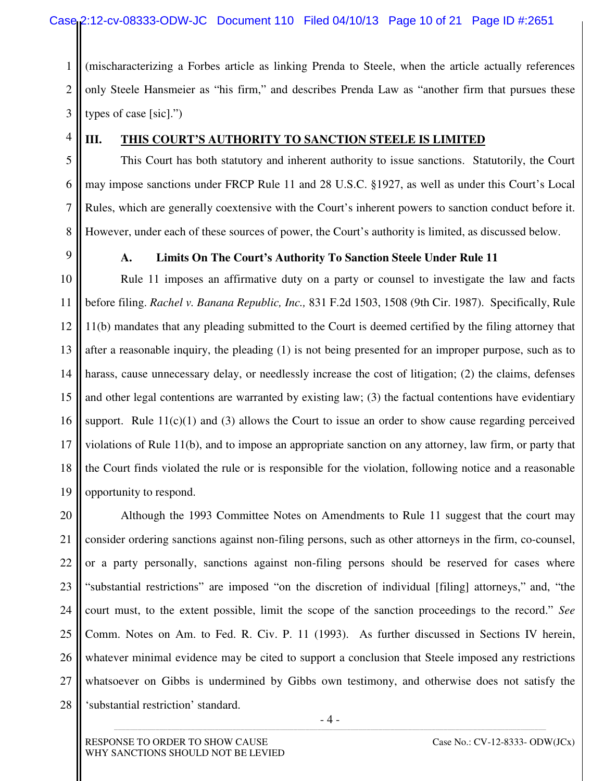1 2 3 (mischaracterizing a Forbes article as linking Prenda to Steele, when the article actually references only Steele Hansmeier as "his firm," and describes Prenda Law as "another firm that pursues these types of case [sic].")

4

5

6

7

8

## **III. THIS COURT'S AUTHORITY TO SANCTION STEELE IS LIMITED**

This Court has both statutory and inherent authority to issue sanctions. Statutorily, the Court may impose sanctions under FRCP Rule 11 and 28 U.S.C. §1927, as well as under this Court's Local Rules, which are generally coextensive with the Court's inherent powers to sanction conduct before it. However, under each of these sources of power, the Court's authority is limited, as discussed below.

9

### **A. Limits On The Court's Authority To Sanction Steele Under Rule 11**

10 11 12 13 14 15 16 17 18 19 Rule 11 imposes an affirmative duty on a party or counsel to investigate the law and facts before filing. *Rachel v. Banana Republic, Inc.,* 831 F.2d 1503, 1508 (9th Cir. 1987). Specifically, Rule 11(b) mandates that any pleading submitted to the Court is deemed certified by the filing attorney that after a reasonable inquiry, the pleading (1) is not being presented for an improper purpose, such as to harass, cause unnecessary delay, or needlessly increase the cost of litigation; (2) the claims, defenses and other legal contentions are warranted by existing law; (3) the factual contentions have evidentiary support. Rule 11(c)(1) and (3) allows the Court to issue an order to show cause regarding perceived violations of Rule 11(b), and to impose an appropriate sanction on any attorney, law firm, or party that the Court finds violated the rule or is responsible for the violation, following notice and a reasonable opportunity to respond.

20 21 22 23 24 25 26 27 28 Although the 1993 Committee Notes on Amendments to Rule 11 suggest that the court may consider ordering sanctions against non-filing persons, such as other attorneys in the firm, co-counsel, or a party personally, sanctions against non-filing persons should be reserved for cases where "substantial restrictions" are imposed "on the discretion of individual [filing] attorneys," and, "the court must, to the extent possible, limit the scope of the sanction proceedings to the record." *See* Comm. Notes on Am. to Fed. R. Civ. P. 11 (1993). As further discussed in Sections IV herein, whatever minimal evidence may be cited to support a conclusion that Steele imposed any restrictions whatsoever on Gibbs is undermined by Gibbs own testimony, and otherwise does not satisfy the 'substantial restriction' standard.

> - 4 - **\_\_\_\_\_\_\_\_\_\_\_\_\_\_\_\_\_\_\_\_\_\_\_\_\_\_\_\_\_\_\_\_\_\_\_\_\_\_\_\_\_\_\_\_\_\_\_\_\_\_\_\_\_\_\_\_\_\_\_\_\_\_\_\_\_\_\_\_\_\_\_\_\_\_\_\_\_\_\_\_\_\_\_\_\_\_\_\_\_\_\_\_\_\_\_\_\_\_\_\_\_\_\_\_\_\_\_\_\_\_\_\_\_\_\_\_\_\_\_\_\_\_\_\_\_\_\_\_\_\_\_\_\_\_\_\_\_\_\_\_\_\_\_\_\_\_\_\_\_\_\_\_\_\_\_\_\_\_\_\_\_\_\_\_\_\_\_\_\_\_\_\_\_\_\_\_\_\_\_\_\_\_\_\_\_\_\_\_\_\_\_\_\_\_\_\_\_\_\_\_\_\_\_\_\_\_\_\_\_\_\_\_\_\_\_\_\_\_\_**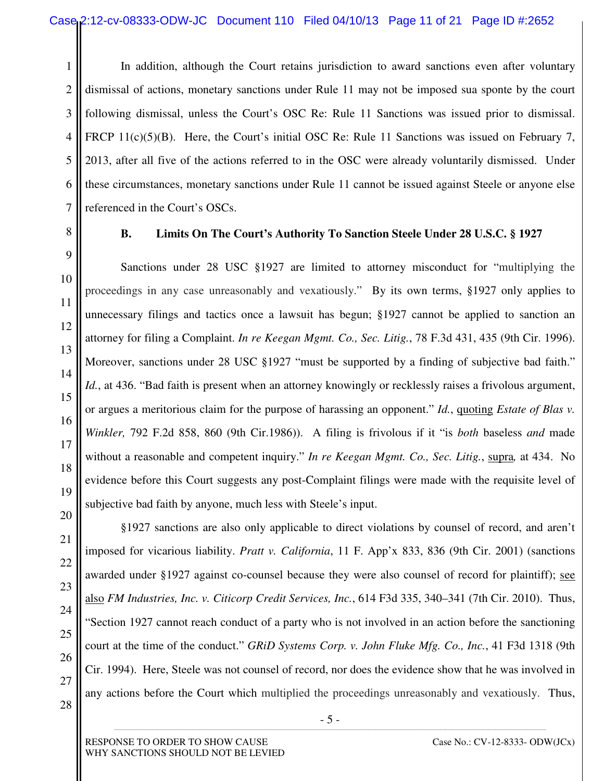1 2 3 4 5 6 7 In addition, although the Court retains jurisdiction to award sanctions even after voluntary dismissal of actions, monetary sanctions under Rule 11 may not be imposed sua sponte by the court following dismissal, unless the Court's OSC Re: Rule 11 Sanctions was issued prior to dismissal. FRCP 11(c)(5)(B). Here, the Court's initial OSC Re: Rule 11 Sanctions was issued on February 7, 2013, after all five of the actions referred to in the OSC were already voluntarily dismissed. Under these circumstances, monetary sanctions under Rule 11 cannot be issued against Steele or anyone else referenced in the Court's OSCs.

8

9

10

11

12

13

14

15

16

17

18

19

20

21

22

23

24

25

26

### **B. Limits On The Court's Authority To Sanction Steele Under 28 U.S.C. § 1927**

Sanctions under 28 USC §1927 are limited to attorney misconduct for "multiplying the proceedings in any case unreasonably and vexatiously." By its own terms, §1927 only applies to unnecessary filings and tactics once a lawsuit has begun; §1927 cannot be applied to sanction an attorney for filing a Complaint. *In re Keegan Mgmt. Co., Sec. Litig.*, 78 F.3d 431, 435 (9th Cir. 1996). Moreover, sanctions under 28 USC §1927 "must be supported by a finding of subjective bad faith." Id., at 436. "Bad faith is present when an attorney knowingly or recklessly raises a frivolous argument, or argues a meritorious claim for the purpose of harassing an opponent." *Id.*, quoting *Estate of Blas v. Winkler,* 792 F.2d 858, 860 (9th Cir.1986)). A filing is frivolous if it "is *both* baseless *and* made without a reasonable and competent inquiry." *In re Keegan Mgmt. Co., Sec. Litig.*, supra*,* at 434. No evidence before this Court suggests any post-Complaint filings were made with the requisite level of subjective bad faith by anyone, much less with Steele's input.

§1927 sanctions are also only applicable to direct violations by counsel of record, and aren't imposed for vicarious liability. *Pratt v. California*, 11 F. App'x 833, 836 (9th Cir. 2001) (sanctions awarded under §1927 against co-counsel because they were also counsel of record for plaintiff); see also *FM Industries, Inc. v. Citicorp Credit Services, Inc.*, 614 F3d 335, 340–341 (7th Cir. 2010). Thus, "Section 1927 cannot reach conduct of a party who is not involved in an action before the sanctioning court at the time of the conduct." *GRiD Systems Corp. v. John Fluke Mfg. Co., Inc.*, 41 F3d 1318 (9th Cir. 1994). Here, Steele was not counsel of record, nor does the evidence show that he was involved in any actions before the Court which multiplied the proceedings unreasonably and vexatiously. Thus,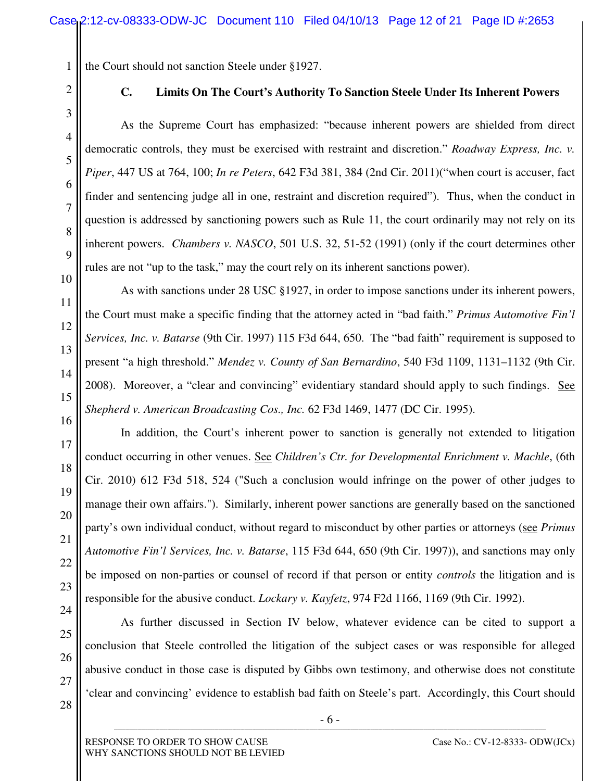the Court should not sanction Steele under §1927.

1

2

3

4

5

6

7

8

9

10

11

12

13

14

15

16

17

18

19

20

21

22

23

24

25

26

## **C. Limits On The Court's Authority To Sanction Steele Under Its Inherent Powers**

As the Supreme Court has emphasized: "because inherent powers are shielded from direct democratic controls, they must be exercised with restraint and discretion." *Roadway Express, Inc. v. Piper*, 447 US at 764, 100; *In re Peters*, 642 F3d 381, 384 (2nd Cir. 2011)("when court is accuser, fact finder and sentencing judge all in one, restraint and discretion required"). Thus, when the conduct in question is addressed by sanctioning powers such as Rule 11, the court ordinarily may not rely on its inherent powers. *Chambers v. NASCO*, 501 U.S. 32, 51-52 (1991) (only if the court determines other rules are not "up to the task," may the court rely on its inherent sanctions power).

As with sanctions under 28 USC §1927, in order to impose sanctions under its inherent powers, the Court must make a specific finding that the attorney acted in "bad faith." *Primus Automotive Fin'l Services, Inc. v. Batarse* (9th Cir. 1997) 115 F3d 644, 650. The "bad faith" requirement is supposed to present "a high threshold." *Mendez v. County of San Bernardino*, 540 F3d 1109, 1131–1132 (9th Cir. 2008). Moreover, a "clear and convincing" evidentiary standard should apply to such findings. See *Shepherd v. American Broadcasting Cos., Inc.* 62 F3d 1469, 1477 (DC Cir. 1995).

In addition, the Court's inherent power to sanction is generally not extended to litigation conduct occurring in other venues. See *Children's Ctr. for Developmental Enrichment v. Machle*, (6th Cir. 2010) 612 F3d 518, 524 ("Such a conclusion would infringe on the power of other judges to manage their own affairs."). Similarly, inherent power sanctions are generally based on the sanctioned party's own individual conduct, without regard to misconduct by other parties or attorneys (see *Primus Automotive Fin'l Services, Inc. v. Batarse*, 115 F3d 644, 650 (9th Cir. 1997)), and sanctions may only be imposed on non-parties or counsel of record if that person or entity *controls* the litigation and is responsible for the abusive conduct. *Lockary v. Kayfetz*, 974 F2d 1166, 1169 (9th Cir. 1992).

As further discussed in Section IV below, whatever evidence can be cited to support a conclusion that Steele controlled the litigation of the subject cases or was responsible for alleged abusive conduct in those case is disputed by Gibbs own testimony, and otherwise does not constitute 'clear and convincing' evidence to establish bad faith on Steele's part. Accordingly, this Court should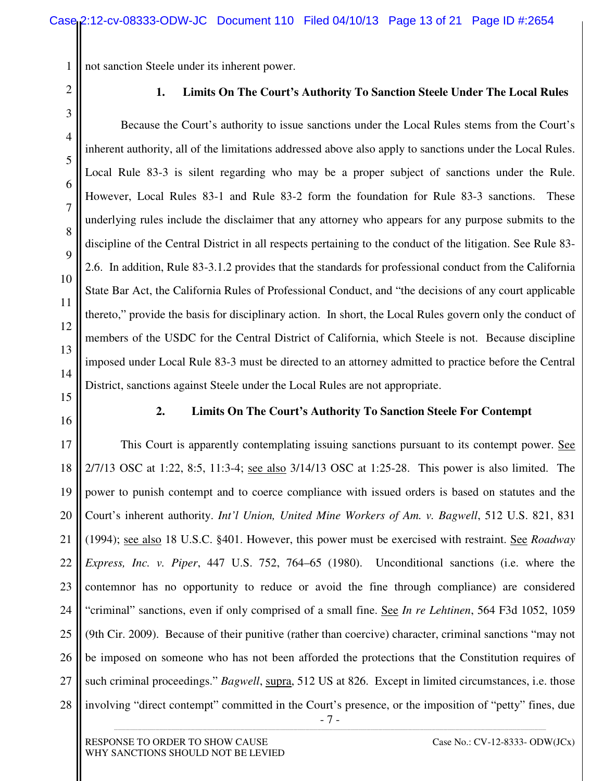not sanction Steele under its inherent power.

2

1

3

4

5

6

7

8

9

10

11

12

13

14

## **1. Limits On The Court's Authority To Sanction Steele Under The Local Rules**

Because the Court's authority to issue sanctions under the Local Rules stems from the Court's inherent authority, all of the limitations addressed above also apply to sanctions under the Local Rules. Local Rule 83-3 is silent regarding who may be a proper subject of sanctions under the Rule. However, Local Rules 83-1 and Rule 83-2 form the foundation for Rule 83-3 sanctions. These underlying rules include the disclaimer that any attorney who appears for any purpose submits to the discipline of the Central District in all respects pertaining to the conduct of the litigation. See Rule 83- 2.6. In addition, Rule 83-3.1.2 provides that the standards for professional conduct from the California State Bar Act, the California Rules of Professional Conduct, and "the decisions of any court applicable thereto," provide the basis for disciplinary action. In short, the Local Rules govern only the conduct of members of the USDC for the Central District of California, which Steele is not. Because discipline imposed under Local Rule 83-3 must be directed to an attorney admitted to practice before the Central District, sanctions against Steele under the Local Rules are not appropriate.

15 16

### **2. Limits On The Court's Authority To Sanction Steele For Contempt**

17 18 19 20 21 22 23 24 25 26 27 28 This Court is apparently contemplating issuing sanctions pursuant to its contempt power. See 2/7/13 OSC at 1:22, 8:5, 11:3-4; see also 3/14/13 OSC at 1:25-28. This power is also limited. The power to punish contempt and to coerce compliance with issued orders is based on statutes and the Court's inherent authority. *Int'l Union, United Mine Workers of Am. v. Bagwell*, 512 U.S. 821, 831 (1994); see also 18 U.S.C. §401. However, this power must be exercised with restraint. See *Roadway Express, Inc. v. Piper*, 447 U.S. 752, 764–65 (1980). Unconditional sanctions (i.e. where the contemnor has no opportunity to reduce or avoid the fine through compliance) are considered "criminal" sanctions, even if only comprised of a small fine. See *In re Lehtinen*, 564 F3d 1052, 1059 (9th Cir. 2009). Because of their punitive (rather than coercive) character, criminal sanctions "may not be imposed on someone who has not been afforded the protections that the Constitution requires of such criminal proceedings." *Bagwell*, supra, 512 US at 826. Except in limited circumstances, i.e. those involving "direct contempt" committed in the Court's presence, or the imposition of "petty" fines, due

- 7 - **\_\_\_\_\_\_\_\_\_\_\_\_\_\_\_\_\_\_\_\_\_\_\_\_\_\_\_\_\_\_\_\_\_\_\_\_\_\_\_\_\_\_\_\_\_\_\_\_\_\_\_\_\_\_\_\_\_\_\_\_\_\_\_\_\_\_\_\_\_\_\_\_\_\_\_\_\_\_\_\_\_\_\_\_\_\_\_\_\_\_\_\_\_\_\_\_\_\_\_\_\_\_\_\_\_\_\_\_\_\_\_\_\_\_\_\_\_\_\_\_\_\_\_\_\_\_\_\_\_\_\_\_\_\_\_\_\_\_\_\_\_\_\_\_\_\_\_\_\_\_\_\_\_\_\_\_\_\_\_\_\_\_\_\_\_\_\_\_\_\_\_\_\_\_\_\_\_\_\_\_\_\_\_\_\_\_\_\_\_\_\_\_\_\_\_\_\_\_\_\_\_\_\_\_\_\_\_\_\_\_\_\_\_\_\_\_\_\_\_**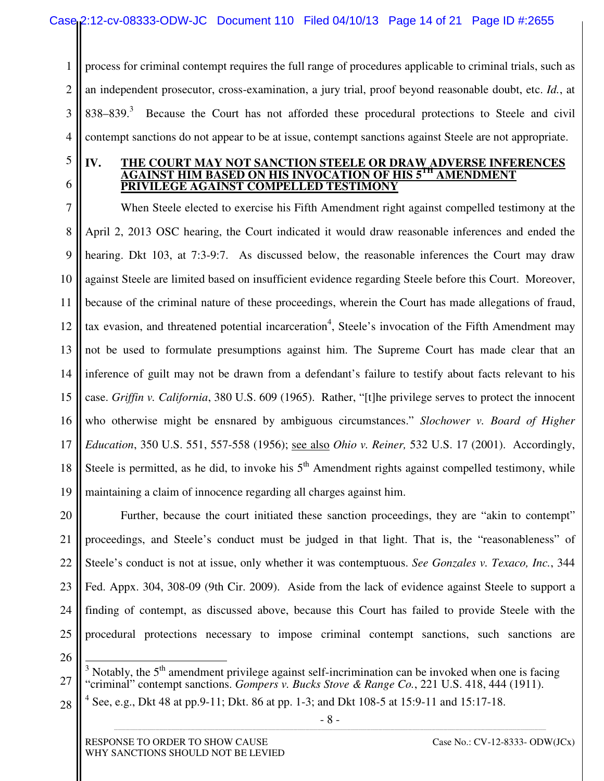1 2 3 4 process for criminal contempt requires the full range of procedures applicable to criminal trials, such as an independent prosecutor, cross-examination, a jury trial, proof beyond reasonable doubt, etc. *Id.*, at  $838-839$ <sup>3</sup> Because the Court has not afforded these procedural protections to Steele and civil contempt sanctions do not appear to be at issue, contempt sanctions against Steele are not appropriate.

- 5
- 6

#### **IV. THE COURT MAY NOT SANCTION STEELE OR DRAW ADVERSE INFERENCES <u>AT HIM BASED ON HIS INVOCATION OF HIS 5TH AMET</u> PRIVILEGE AGAINST COMPELLED TESTIMONY**

7 8 9 10 11 12 13 14 15 16 17 18 19 When Steele elected to exercise his Fifth Amendment right against compelled testimony at the April 2, 2013 OSC hearing, the Court indicated it would draw reasonable inferences and ended the hearing. Dkt 103, at 7:3-9:7. As discussed below, the reasonable inferences the Court may draw against Steele are limited based on insufficient evidence regarding Steele before this Court. Moreover, because of the criminal nature of these proceedings, wherein the Court has made allegations of fraud, tax evasion, and threatened potential incarceration<sup>4</sup>, Steele's invocation of the Fifth Amendment may not be used to formulate presumptions against him. The Supreme Court has made clear that an inference of guilt may not be drawn from a defendant's failure to testify about facts relevant to his case. *Griffin v. California*, 380 U.S. 609 (1965). Rather, "[t]he privilege serves to protect the innocent who otherwise might be ensnared by ambiguous circumstances." *Slochower v. Board of Higher Education*, 350 U.S. 551, 557-558 (1956); see also *Ohio v. Reiner,* 532 U.S. 17 (2001). Accordingly, Steele is permitted, as he did, to invoke his  $5<sup>th</sup>$  Amendment rights against compelled testimony, while maintaining a claim of innocence regarding all charges against him.

20 21 22 23 24 25 Further, because the court initiated these sanction proceedings, they are "akin to contempt" proceedings, and Steele's conduct must be judged in that light. That is, the "reasonableness" of Steele's conduct is not at issue, only whether it was contemptuous. *See Gonzales v. Texaco, Inc.*, 344 Fed. Appx. 304, 308-09 (9th Cir. 2009). Aside from the lack of evidence against Steele to support a finding of contempt, as discussed above, because this Court has failed to provide Steele with the procedural protections necessary to impose criminal contempt sanctions, such sanctions are

26

27

- 8 - **\_\_\_\_\_\_\_\_\_\_\_\_\_\_\_\_\_\_\_\_\_\_\_\_\_\_\_\_\_\_\_\_\_\_\_\_\_\_\_\_\_\_\_\_\_\_\_\_\_\_\_\_\_\_\_\_\_\_\_\_\_\_\_\_\_\_\_\_\_\_\_\_\_\_\_\_\_\_\_\_\_\_\_\_\_\_\_\_\_\_\_\_\_\_\_\_\_\_\_\_\_\_\_\_\_\_\_\_\_\_\_\_\_\_\_\_\_\_\_\_\_\_\_\_\_\_\_\_\_\_\_\_\_\_\_\_\_\_\_\_\_\_\_\_\_\_\_\_\_\_\_\_\_\_\_\_\_\_\_\_\_\_\_\_\_\_\_\_\_\_\_\_\_\_\_\_\_\_\_\_\_\_\_\_\_\_\_\_\_\_\_\_\_\_\_\_\_\_\_\_\_\_\_\_\_\_\_\_\_\_\_\_\_\_\_\_\_\_\_** 

28

4

See, e.g., Dkt 48 at pp.9-11; Dkt. 86 at pp. 1-3; and Dkt 108-5 at 15:9-11 and 15:17-18.

 $3$  Notably, the  $5<sup>th</sup>$  amendment privilege against self-incrimination can be invoked when one is facing "criminal" contempt sanctions. *Gompers v. Bucks Stove & Range Co.*, 221 U.S. 418, 444 (1911).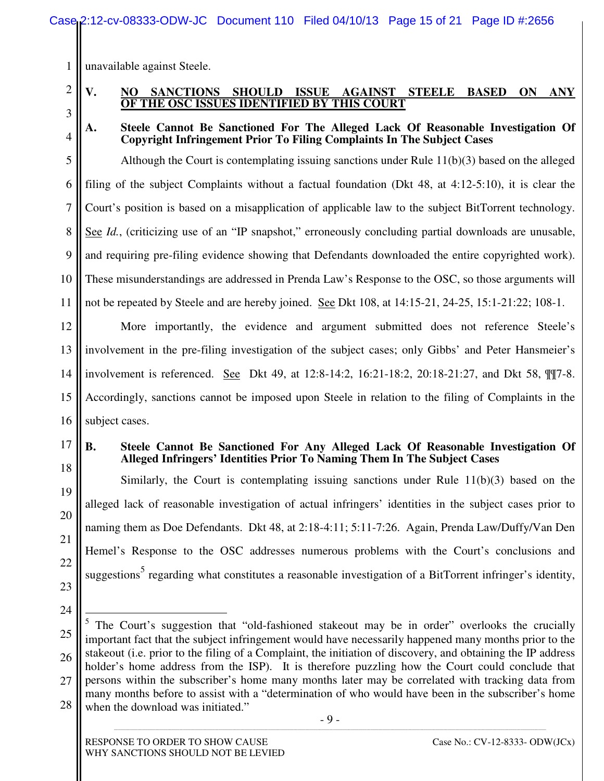1 unavailable against Steele.

2 3

## **V. NO SANCTIONS SHOULD ISSUE AGAINST STEELE BASED ON ANY OF THE OSC ISSUES IDENTIFIED BY THIS COURT**

4

#### **A. Steele Cannot Be Sanctioned For The Alleged Lack Of Reasonable Investigation Of Copyright Infringement Prior To Filing Complaints In The Subject Cases**

5 6 7 8 9 10 11 Although the Court is contemplating issuing sanctions under Rule 11(b)(3) based on the alleged filing of the subject Complaints without a factual foundation (Dkt 48, at 4:12-5:10), it is clear the Court's position is based on a misapplication of applicable law to the subject BitTorrent technology. See *Id.*, (criticizing use of an "IP snapshot," erroneously concluding partial downloads are unusable, and requiring pre-filing evidence showing that Defendants downloaded the entire copyrighted work). These misunderstandings are addressed in Prenda Law's Response to the OSC, so those arguments will not be repeated by Steele and are hereby joined. See Dkt 108, at 14:15-21, 24-25, 15:1-21:22; 108-1.

12 13 14 15 16 More importantly, the evidence and argument submitted does not reference Steele's involvement in the pre-filing investigation of the subject cases; only Gibbs' and Peter Hansmeier's involvement is referenced. See Dkt 49, at 12:8-14:2, 16:21-18:2, 20:18-21:27, and Dkt 58, ¶¶7-8. Accordingly, sanctions cannot be imposed upon Steele in relation to the filing of Complaints in the subject cases.

17

18

19

20

21

22

## **B. Steele Cannot Be Sanctioned For Any Alleged Lack Of Reasonable Investigation Of Alleged Infringers' Identities Prior To Naming Them In The Subject Cases**

Similarly, the Court is contemplating issuing sanctions under Rule 11(b)(3) based on the alleged lack of reasonable investigation of actual infringers' identities in the subject cases prior to naming them as Doe Defendants. Dkt 48, at 2:18-4:11; 5:11-7:26. Again, Prenda Law/Duffy/Van Den Hemel's Response to the OSC addresses numerous problems with the Court's conclusions and suggestions<sup>5</sup> regarding what constitutes a reasonable investigation of a BitTorrent infringer's identity,

23 24

**\_\_\_\_\_\_\_\_\_\_\_\_\_\_\_\_\_\_\_\_\_\_\_\_\_\_\_\_\_\_\_\_\_\_\_\_\_\_\_\_\_\_\_\_\_\_\_\_\_\_\_\_\_\_\_\_\_\_\_\_\_\_\_\_\_\_\_\_\_\_\_\_\_\_\_\_\_\_\_\_\_\_\_\_\_\_\_\_\_\_\_\_\_\_\_\_\_\_\_\_\_\_\_\_\_\_\_\_\_\_\_\_\_\_\_\_\_\_\_\_\_\_\_\_\_\_\_\_\_\_\_\_\_\_\_\_\_\_\_\_\_\_\_\_\_\_\_\_\_\_\_\_\_\_\_\_\_\_\_\_\_\_\_\_\_\_\_\_\_\_\_\_\_\_\_\_\_\_\_\_\_\_\_\_\_\_\_\_\_\_\_\_\_\_\_\_\_\_\_\_\_\_\_\_\_\_\_\_\_\_\_\_\_\_\_\_\_\_\_** 

<sup>25</sup> 26 27 28 - 9 -  $\overline{a}$ 5 The Court's suggestion that "old-fashioned stakeout may be in order" overlooks the crucially important fact that the subject infringement would have necessarily happened many months prior to the stakeout (i.e. prior to the filing of a Complaint, the initiation of discovery, and obtaining the IP address holder's home address from the ISP). It is therefore puzzling how the Court could conclude that persons within the subscriber's home many months later may be correlated with tracking data from many months before to assist with a "determination of who would have been in the subscriber's home when the download was initiated."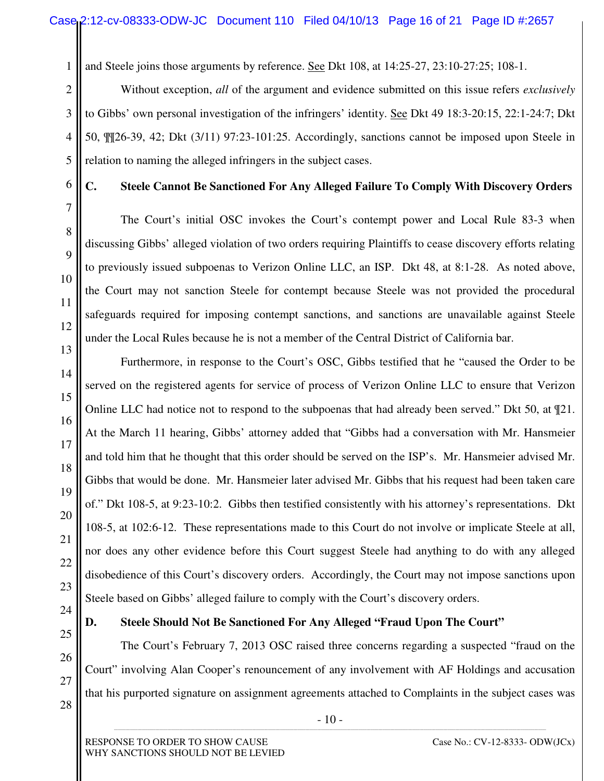and Steele joins those arguments by reference. See Dkt 108, at 14:25-27, 23:10-27:25; 108-1.

Without exception, *all* of the argument and evidence submitted on this issue refers *exclusively*  to Gibbs' own personal investigation of the infringers' identity. See Dkt 49 18:3-20:15, 22:1-24:7; Dkt 50, ¶¶26-39, 42; Dkt (3/11) 97:23-101:25. Accordingly, sanctions cannot be imposed upon Steele in relation to naming the alleged infringers in the subject cases.

1

2

3

4

5

6

7

8

9

10

11

12

13

14

15

16

17

18

19

20

21

22

23

24

26

27

28

## **C. Steele Cannot Be Sanctioned For Any Alleged Failure To Comply With Discovery Orders**

 The Court's initial OSC invokes the Court's contempt power and Local Rule 83-3 when discussing Gibbs' alleged violation of two orders requiring Plaintiffs to cease discovery efforts relating to previously issued subpoenas to Verizon Online LLC, an ISP. Dkt 48, at 8:1-28. As noted above, the Court may not sanction Steele for contempt because Steele was not provided the procedural safeguards required for imposing contempt sanctions, and sanctions are unavailable against Steele under the Local Rules because he is not a member of the Central District of California bar.

 Furthermore, in response to the Court's OSC, Gibbs testified that he "caused the Order to be served on the registered agents for service of process of Verizon Online LLC to ensure that Verizon Online LLC had notice not to respond to the subpoenas that had already been served." Dkt 50, at ¶21. At the March 11 hearing, Gibbs' attorney added that "Gibbs had a conversation with Mr. Hansmeier and told him that he thought that this order should be served on the ISP's. Mr. Hansmeier advised Mr. Gibbs that would be done. Mr. Hansmeier later advised Mr. Gibbs that his request had been taken care of." Dkt 108-5, at 9:23-10:2. Gibbs then testified consistently with his attorney's representations. Dkt 108-5, at 102:6-12. These representations made to this Court do not involve or implicate Steele at all, nor does any other evidence before this Court suggest Steele had anything to do with any alleged disobedience of this Court's discovery orders. Accordingly, the Court may not impose sanctions upon Steele based on Gibbs' alleged failure to comply with the Court's discovery orders.

25

#### **D. Steele Should Not Be Sanctioned For Any Alleged "Fraud Upon The Court"**

 The Court's February 7, 2013 OSC raised three concerns regarding a suspected "fraud on the Court" involving Alan Cooper's renouncement of any involvement with AF Holdings and accusation that his purported signature on assignment agreements attached to Complaints in the subject cases was

- 10 - **\_\_\_\_\_\_\_\_\_\_\_\_\_\_\_\_\_\_\_\_\_\_\_\_\_\_\_\_\_\_\_\_\_\_\_\_\_\_\_\_\_\_\_\_\_\_\_\_\_\_\_\_\_\_\_\_\_\_\_\_\_\_\_\_\_\_\_\_\_\_\_\_\_\_\_\_\_\_\_\_\_\_\_\_\_\_\_\_\_\_\_\_\_\_\_\_\_\_\_\_\_\_\_\_\_\_\_\_\_\_\_\_\_\_\_\_\_\_\_\_\_\_\_\_\_\_\_\_\_\_\_\_\_\_\_\_\_\_\_\_\_\_\_\_\_\_\_\_\_\_\_\_\_\_\_\_\_\_\_\_\_\_\_\_\_\_\_\_\_\_\_\_\_\_\_\_\_\_\_\_\_\_\_\_\_\_\_\_\_\_\_\_\_\_\_\_\_\_\_\_\_\_\_\_\_\_\_\_\_\_\_\_\_\_\_\_\_\_\_**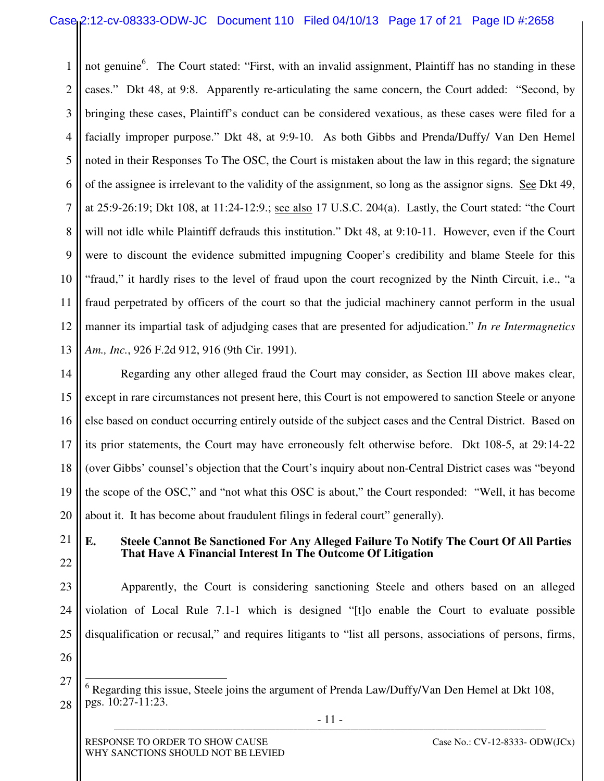1 2 3 4 5 6 7 8 9 10 11 12 13 not genuine<sup>6</sup>. The Court stated: "First, with an invalid assignment, Plaintiff has no standing in these cases." Dkt 48, at 9:8. Apparently re-articulating the same concern, the Court added: "Second, by bringing these cases, Plaintiff's conduct can be considered vexatious, as these cases were filed for a facially improper purpose." Dkt 48, at 9:9-10. As both Gibbs and Prenda/Duffy/ Van Den Hemel noted in their Responses To The OSC, the Court is mistaken about the law in this regard; the signature of the assignee is irrelevant to the validity of the assignment, so long as the assignor signs. See Dkt 49, at 25:9-26:19; Dkt 108, at 11:24-12:9.; see also 17 U.S.C. 204(a). Lastly, the Court stated: "the Court will not idle while Plaintiff defrauds this institution." Dkt 48, at 9:10-11. However, even if the Court were to discount the evidence submitted impugning Cooper's credibility and blame Steele for this "fraud," it hardly rises to the level of fraud upon the court recognized by the Ninth Circuit, i.e., "a fraud perpetrated by officers of the court so that the judicial machinery cannot perform in the usual manner its impartial task of adjudging cases that are presented for adjudication." *In re Intermagnetics Am., Inc.*, 926 F.2d 912, 916 (9th Cir. 1991).

14 15 16 17 18 19 20 Regarding any other alleged fraud the Court may consider, as Section III above makes clear, except in rare circumstances not present here, this Court is not empowered to sanction Steele or anyone else based on conduct occurring entirely outside of the subject cases and the Central District. Based on its prior statements, the Court may have erroneously felt otherwise before. Dkt 108-5, at 29:14-22 (over Gibbs' counsel's objection that the Court's inquiry about non-Central District cases was "beyond the scope of the OSC," and "not what this OSC is about," the Court responded: "Well, it has become about it. It has become about fraudulent filings in federal court" generally).

**E. Steele Cannot Be Sanctioned For Any Alleged Failure To Notify The Court Of All Parties That Have A Financial Interest In The Outcome Of Litigation** 

23 24 25 Apparently, the Court is considering sanctioning Steele and others based on an alleged violation of Local Rule 7.1-1 which is designed "[t]o enable the Court to evaluate possible disqualification or recusal," and requires litigants to "list all persons, associations of persons, firms,

26 27

 $\overline{\phantom{a}}$ 

28

21

<sup>6</sup> Regarding this issue, Steele joins the argument of Prenda Law/Duffy/Van Den Hemel at Dkt 108, pgs. 10:27-11:23.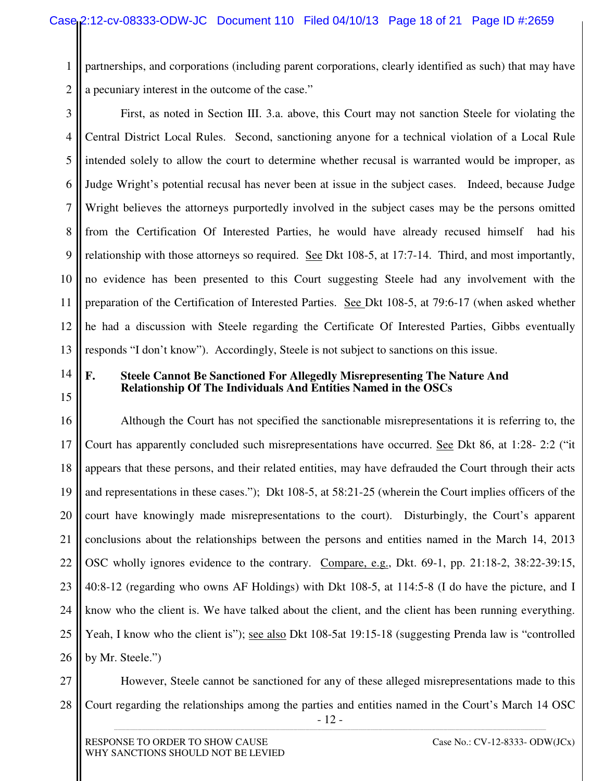1 2 partnerships, and corporations (including parent corporations, clearly identified as such) that may have a pecuniary interest in the outcome of the case."

- 3 4 5 6 7 8 9 10 11 12 13 First, as noted in Section III. 3.a. above, this Court may not sanction Steele for violating the Central District Local Rules. Second, sanctioning anyone for a technical violation of a Local Rule intended solely to allow the court to determine whether recusal is warranted would be improper, as Judge Wright's potential recusal has never been at issue in the subject cases. Indeed, because Judge Wright believes the attorneys purportedly involved in the subject cases may be the persons omitted from the Certification Of Interested Parties, he would have already recused himself had his relationship with those attorneys so required. See Dkt 108-5, at 17:7-14. Third, and most importantly, no evidence has been presented to this Court suggesting Steele had any involvement with the preparation of the Certification of Interested Parties. See Dkt 108-5, at 79:6-17 (when asked whether he had a discussion with Steele regarding the Certificate Of Interested Parties, Gibbs eventually responds "I don't know"). Accordingly, Steele is not subject to sanctions on this issue.
- 14 15

### **F. Steele Cannot Be Sanctioned For Allegedly Misrepresenting The Nature And Relationship Of The Individuals And Entities Named in the OSCs**

16 17 18 19 20 21 22 23 24 25 26 Although the Court has not specified the sanctionable misrepresentations it is referring to, the Court has apparently concluded such misrepresentations have occurred. See Dkt 86, at 1:28- 2:2 ("it appears that these persons, and their related entities, may have defrauded the Court through their acts and representations in these cases."); Dkt 108-5, at 58:21-25 (wherein the Court implies officers of the court have knowingly made misrepresentations to the court). Disturbingly, the Court's apparent conclusions about the relationships between the persons and entities named in the March 14, 2013 OSC wholly ignores evidence to the contrary. Compare, e.g., Dkt. 69-1, pp. 21:18-2, 38:22-39:15, 40:8-12 (regarding who owns AF Holdings) with Dkt 108-5, at 114:5-8 (I do have the picture, and I know who the client is. We have talked about the client, and the client has been running everything. Yeah, I know who the client is"); see also Dkt 108-5at 19:15-18 (suggesting Prenda law is "controlled by Mr. Steele.")

27 28 However, Steele cannot be sanctioned for any of these alleged misrepresentations made to this Court regarding the relationships among the parties and entities named in the Court's March 14 OSC

- 12 - **\_\_\_\_\_\_\_\_\_\_\_\_\_\_\_\_\_\_\_\_\_\_\_\_\_\_\_\_\_\_\_\_\_\_\_\_\_\_\_\_\_\_\_\_\_\_\_\_\_\_\_\_\_\_\_\_\_\_\_\_\_\_\_\_\_\_\_\_\_\_\_\_\_\_\_\_\_\_\_\_\_\_\_\_\_\_\_\_\_\_\_\_\_\_\_\_\_\_\_\_\_\_\_\_\_\_\_\_\_\_\_\_\_\_\_\_\_\_\_\_\_\_\_\_\_\_\_\_\_\_\_\_\_\_\_\_\_\_\_\_\_\_\_\_\_\_\_\_\_\_\_\_\_\_\_\_\_\_\_\_\_\_\_\_\_\_\_\_\_\_\_\_\_\_\_\_\_\_\_\_\_\_\_\_\_\_\_\_\_\_\_\_\_\_\_\_\_\_\_\_\_\_\_\_\_\_\_\_\_\_\_\_\_\_\_\_\_\_\_**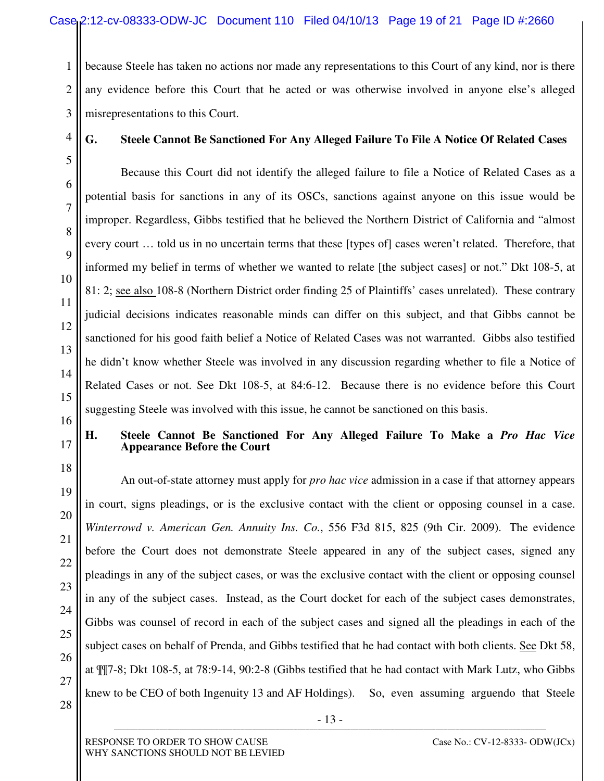1 2 3 because Steele has taken no actions nor made any representations to this Court of any kind, nor is there any evidence before this Court that he acted or was otherwise involved in anyone else's alleged misrepresentations to this Court.

4

5

6

7

8

9

10

11

12

13

14

15

## **G. Steele Cannot Be Sanctioned For Any Alleged Failure To File A Notice Of Related Cases**

Because this Court did not identify the alleged failure to file a Notice of Related Cases as a potential basis for sanctions in any of its OSCs, sanctions against anyone on this issue would be improper. Regardless, Gibbs testified that he believed the Northern District of California and "almost every court … told us in no uncertain terms that these [types of] cases weren't related. Therefore, that informed my belief in terms of whether we wanted to relate [the subject cases] or not." Dkt 108-5, at 81: 2; see also 108-8 (Northern District order finding 25 of Plaintiffs' cases unrelated). These contrary judicial decisions indicates reasonable minds can differ on this subject, and that Gibbs cannot be sanctioned for his good faith belief a Notice of Related Cases was not warranted. Gibbs also testified he didn't know whether Steele was involved in any discussion regarding whether to file a Notice of Related Cases or not. See Dkt 108-5, at 84:6-12. Because there is no evidence before this Court suggesting Steele was involved with this issue, he cannot be sanctioned on this basis.

16 17

18

19

20

21

22

23

24

25

26

27

#### **H. Steele Cannot Be Sanctioned For Any Alleged Failure To Make a** *Pro Hac Vice* **Appearance Before the Court**

An out-of-state attorney must apply for *pro hac vice* admission in a case if that attorney appears in court, signs pleadings, or is the exclusive contact with the client or opposing counsel in a case. *Winterrowd v. American Gen. Annuity Ins. Co.*, 556 F3d 815, 825 (9th Cir. 2009). The evidence before the Court does not demonstrate Steele appeared in any of the subject cases, signed any pleadings in any of the subject cases, or was the exclusive contact with the client or opposing counsel in any of the subject cases. Instead, as the Court docket for each of the subject cases demonstrates, Gibbs was counsel of record in each of the subject cases and signed all the pleadings in each of the subject cases on behalf of Prenda, and Gibbs testified that he had contact with both clients. See Dkt 58, at ¶¶7-8; Dkt 108-5, at 78:9-14, 90:2-8 (Gibbs testified that he had contact with Mark Lutz, who Gibbs knew to be CEO of both Ingenuity 13 and AF Holdings). So, even assuming arguendo that Steele

<sup>28</sup>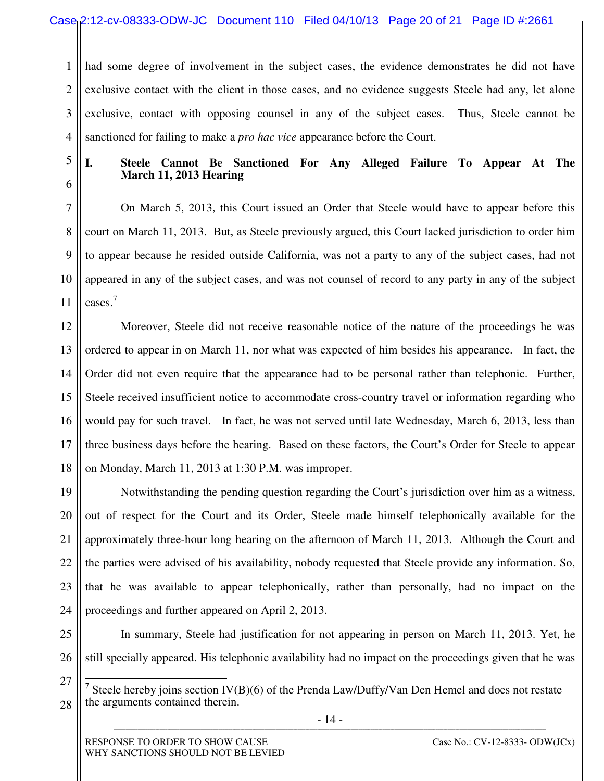1 2 3 4 had some degree of involvement in the subject cases, the evidence demonstrates he did not have exclusive contact with the client in those cases, and no evidence suggests Steele had any, let alone exclusive, contact with opposing counsel in any of the subject cases. Thus, Steele cannot be sanctioned for failing to make a *pro hac vice* appearance before the Court.

5 6

11

### **I. Steele Cannot Be Sanctioned For Any Alleged Failure To Appear At The March 11, 2013 Hearing**

7 8 9 10 On March 5, 2013, this Court issued an Order that Steele would have to appear before this court on March 11, 2013. But, as Steele previously argued, this Court lacked jurisdiction to order him to appear because he resided outside California, was not a party to any of the subject cases, had not appeared in any of the subject cases, and was not counsel of record to any party in any of the subject cases. 7

12 13 14 15 16 17 18 Moreover, Steele did not receive reasonable notice of the nature of the proceedings he was ordered to appear in on March 11, nor what was expected of him besides his appearance. In fact, the Order did not even require that the appearance had to be personal rather than telephonic. Further, Steele received insufficient notice to accommodate cross-country travel or information regarding who would pay for such travel. In fact, he was not served until late Wednesday, March 6, 2013, less than three business days before the hearing. Based on these factors, the Court's Order for Steele to appear on Monday, March 11, 2013 at 1:30 P.M. was improper.

19 20 21 22 23 24 Notwithstanding the pending question regarding the Court's jurisdiction over him as a witness, out of respect for the Court and its Order, Steele made himself telephonically available for the approximately three-hour long hearing on the afternoon of March 11, 2013. Although the Court and the parties were advised of his availability, nobody requested that Steele provide any information. So, that he was available to appear telephonically, rather than personally, had no impact on the proceedings and further appeared on April 2, 2013.

26

25

In summary, Steele had justification for not appearing in person on March 11, 2013. Yet, he still specially appeared. His telephonic availability had no impact on the proceedings given that he was

27

 $\overline{\phantom{a}}$ 7 Steele hereby joins section IV(B)(6) of the Prenda Law/Duffy/Van Den Hemel and does not restate the arguments contained therein.